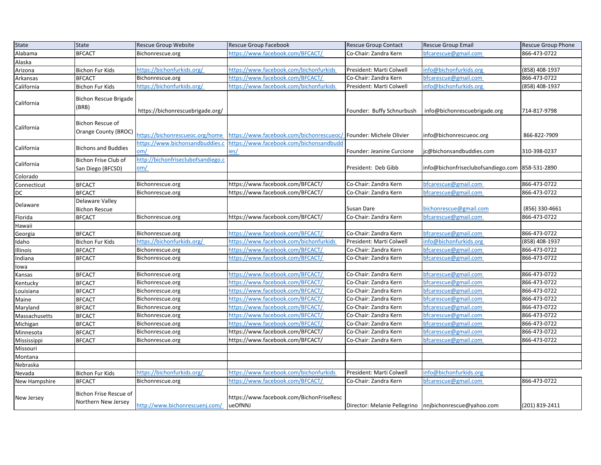| <b>State</b>  | <b>State</b>                                    | <b>Rescue Group Website</b>                      | Rescue Group Facebook                                             | <b>Rescue Group Contact</b> | <b>Rescue Group Email</b>                                | <b>Rescue Group Phone</b> |
|---------------|-------------------------------------------------|--------------------------------------------------|-------------------------------------------------------------------|-----------------------------|----------------------------------------------------------|---------------------------|
| Alabama       | <b>BFCACT</b>                                   | Bichonrescue.org                                 | https://www.facebook.com/BFCACT/                                  | Co-Chair: Zandra Kern       | bfcarescue@gmail.com                                     | 866-473-0722              |
| Alaska        |                                                 |                                                  |                                                                   |                             |                                                          |                           |
| Arizona       | <b>Bichon Fur Kids</b>                          | https://bichonfurkids.org/                       | https://www.facebook.com/bichonfurkids                            | President: Marti Colwell    | info@bichonfurkids.org                                   | (858) 408-1937            |
| Arkansas      | <b>BFCACT</b>                                   | Bichonrescue.org                                 | https://www.facebook.com/BFCACT/                                  | Co-Chair: Zandra Kern       | bfcarescue@gmail.com                                     | 866-473-0722              |
| California    | <b>Bichon Fur Kids</b>                          | https://bichonfurkids.org/                       | https://www.facebook.com/bichonfurkids                            | President: Marti Colwell    | info@bichonfurkids.org                                   | (858) 408-1937            |
| California    | <b>Bichon Rescue Brigade</b><br>(BRB)           | https://bichonrescuebrigade.org/                 |                                                                   | Founder: Buffy Schnurbush   | info@bichonrescuebrigade.org                             | 714-817-9798              |
| California    | <b>Bichon Rescue of</b><br>Orange County (BROC) | https://bichonrescueoc.org/home                  | https://www.facebook.com/bichonrescueoc/ Founder: Michele Olivier |                             | info@bichonrescueoc.org                                  | 866-822-7909              |
| California    | <b>Bichons and Buddies</b>                      | https://www.bichonsandbuddies.c<br>om/           | https://www.facebook.com/bichonsandbudd<br>ies/                   | Founder: Jeanine Curcione   | ic@bichonsandbuddies.com                                 | 310-398-0237              |
| California    | Bichon Frise Club of<br>San Diego (BFCSD)       | http://bichonfriseclubofsandiego.c<br><u>om/</u> |                                                                   | President: Deb Gibb         | info@bichonfriseclubofsandiego.com                       | 858-531-2890              |
| Colorado      |                                                 |                                                  |                                                                   |                             |                                                          |                           |
| Connecticut   | <b>BFCACT</b>                                   | Bichonrescue.org                                 | https://www.facebook.com/BFCACT/                                  | Co-Chair: Zandra Kern       | bfcarescue@gmail.com                                     | 866-473-0722              |
| DC            | <b>BFCACT</b>                                   | Bichonrescue.org                                 | https://www.facebook.com/BFCACT/                                  | Co-Chair: Zandra Kern       | bfcarescue@gmail.com                                     | 866-473-0722              |
| Delaware      | Delaware Valley<br><b>Bichon Rescue</b>         |                                                  |                                                                   | Susan Dare                  | bichonrescue@gmail.com                                   | (856) 330-4661            |
| Florida       | <b>BFCACT</b>                                   | Bichonrescue.org                                 | https://www.facebook.com/BFCACT/                                  | Co-Chair: Zandra Kern       | bfcarescue@gmail.com                                     | 866-473-0722              |
| Hawaii        |                                                 |                                                  |                                                                   |                             |                                                          |                           |
| Georgia       | <b>BFCACT</b>                                   | Bichonrescue.org                                 | https://www.facebook.com/BFCACT/                                  | Co-Chair: Zandra Kern       | bfcarescue@gmail.com                                     | 866-473-0722              |
| Idaho         | <b>Bichon Fur Kids</b>                          | https://bichonfurkids.org/                       | https://www.facebook.com/bichonfurkids                            | President: Marti Colwell    | info@bichonfurkids.org                                   | (858) 408-1937            |
| Illinois      | <b>BFCACT</b>                                   | Bichonrescue.org                                 | https://www.facebook.com/BFCACT/                                  | Co-Chair: Zandra Kern       | bfcarescue@gmail.com                                     | 866-473-0722              |
| Indiana       | <b>BFCACT</b>                                   | Bichonrescue.org                                 | https://www.facebook.com/BFCACT/                                  | Co-Chair: Zandra Kern       | bfcarescue@gmail.com                                     | 866-473-0722              |
| lowa          |                                                 |                                                  |                                                                   |                             |                                                          |                           |
| Kansas        | <b>BFCACT</b>                                   | Bichonrescue.org                                 | https://www.facebook.com/BFCACT/                                  | Co-Chair: Zandra Kern       | bfcarescue@gmail.com                                     | 866-473-0722              |
| Kentucky      | <b>BFCACT</b>                                   | Bichonrescue.org                                 | https://www.facebook.com/BFCACT/                                  | Co-Chair: Zandra Kern       | bfcarescue@gmail.com                                     | 866-473-0722              |
| Louisiana     | <b>BFCACT</b>                                   | Bichonrescue.org                                 | https://www.facebook.com/BFCACT/                                  | Co-Chair: Zandra Kern       | bfcarescue@gmail.com                                     | 866-473-0722              |
| Maine         | <b>BFCACT</b>                                   | Bichonrescue.org                                 | https://www.facebook.com/BFCACT/                                  | Co-Chair: Zandra Kern       | bfcarescue@gmail.com                                     | 866-473-0722              |
| Maryland      | <b>BFCACT</b>                                   | Bichonrescue.org                                 | https://www.facebook.com/BFCACT/                                  | Co-Chair: Zandra Kern       | bfcarescue@gmail.com                                     | 866-473-0722              |
| Massachusetts | <b>BFCACT</b>                                   | Bichonrescue.org                                 | https://www.facebook.com/BFCACT/                                  | Co-Chair: Zandra Kern       | bfcarescue@gmail.com                                     | 866-473-0722              |
| Michigan      | <b>BFCACT</b>                                   | Bichonrescue.org                                 | https://www.facebook.com/BFCACT/                                  | Co-Chair: Zandra Kern       | bfcarescue@gmail.com                                     | 866-473-0722              |
| Minnesota     | <b>BFCACT</b>                                   | Bichonrescue.org                                 | https://www.facebook.com/BFCACT/                                  | Co-Chair: Zandra Kern       | bfcarescue@gmail.com                                     | 866-473-0722              |
| Mississippi   | <b>BFCACT</b>                                   | Bichonrescue.org                                 | https://www.facebook.com/BFCACT/                                  | Co-Chair: Zandra Kern       | bfcarescue@gmail.com                                     | 866-473-0722              |
| Missouri      |                                                 |                                                  |                                                                   |                             |                                                          |                           |
| Montana       |                                                 |                                                  |                                                                   |                             |                                                          |                           |
| Nebraska      |                                                 |                                                  |                                                                   |                             |                                                          |                           |
| Nevada        | <b>Bichon Fur Kids</b>                          | https://bichonfurkids.org/                       | https://www.facebook.com/bichonfurkids                            | President: Marti Colwell    | info@bichonfurkids.org                                   |                           |
| New Hampshire | <b>BFCACT</b>                                   | Bichonrescue.org                                 | https://www.facebook.com/BFCACT/                                  | Co-Chair: Zandra Kern       | bfcarescue@gmail.com                                     | 866-473-0722              |
| New Jersey    | Bichon Frise Rescue of<br>Northern New Jersey   | http://www.bichonrescuenj.com/                   | https://www.facebook.com/BichonFriseResc<br>ueOfNNJ               |                             | Director: Melanie Pellegrino   nnjbichonrescue@yahoo.com | (201) 819-2411            |